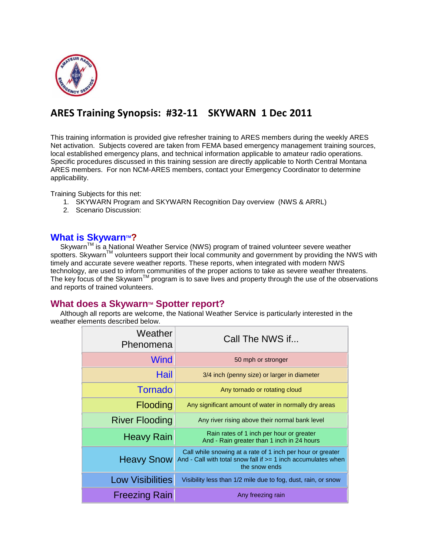

# **ARES Training Synopsis: #32-11 SKYWARN 1 Dec 2011**

This training information is provided give refresher training to ARES members during the weekly ARES Net activation. Subjects covered are taken from FEMA based emergency management training sources, local established emergency plans, and technical information applicable to amateur radio operations. Specific procedures discussed in this training session are directly applicable to North Central Montana ARES members. For non NCM-ARES members, contact your Emergency Coordinator to determine applicability.

Training Subjects for this net:

- 1. SKYWARN Program and SKYWARN Recognition Day overview (NWS & ARRL)
- 2. Scenario Discussion:

# **[What is Skywarn](http://www.nws.noaa.gov/skywarn/index.shtml)<sup>™?</sup>**

Skywarn<sup>™</sup> is a National Weather Service (NWS) program of trained volunteer severe weather spotters. Skywarn<sup>™</sup> volunteers support their local community and government by providing the NWS with timely and accurate severe weather reports. These reports, when integrated with modern NWS technology, are used to inform communities of the proper actions to take as severe weather threatens. The key focus of the Skywarn<sup>TM</sup> program is to save lives and property through the use of the observations and reports of trained volunteers.

## **What does a Skywarn™ Spotter report?**

 Although all reports are welcome, the National Weather Service is particularly interested in the weather elements described below.

| Weather<br>Phenomena    | Call The NWS if                                                                                                                                |
|-------------------------|------------------------------------------------------------------------------------------------------------------------------------------------|
| Wind                    | 50 mph or stronger                                                                                                                             |
| Hail                    | 3/4 inch (penny size) or larger in diameter                                                                                                    |
| <b>Tornado</b>          | Any tornado or rotating cloud                                                                                                                  |
| Flooding                | Any significant amount of water in normally dry areas                                                                                          |
| <b>River Flooding</b>   | Any river rising above their normal bank level                                                                                                 |
| <b>Heavy Rain</b>       | Rain rates of 1 inch per hour or greater<br>And - Rain greater than 1 inch in 24 hours                                                         |
| <b>Heavy Snow</b>       | Call while snowing at a rate of 1 inch per hour or greater<br>And - Call with total snow fall if $>= 1$ inch accumulates when<br>the snow ends |
| <b>Low Visibilities</b> | Visibility less than 1/2 mile due to fog, dust, rain, or snow                                                                                  |
| <b>Freezing Rain</b>    | Any freezing rain                                                                                                                              |